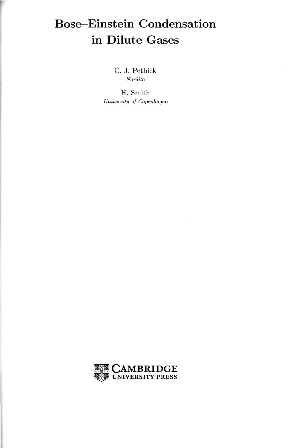## **Bose-Einstein Condensation** in Dilute Gases

C. J. Pethick  $Nordita$ 

H. Smith University of Copenhagen

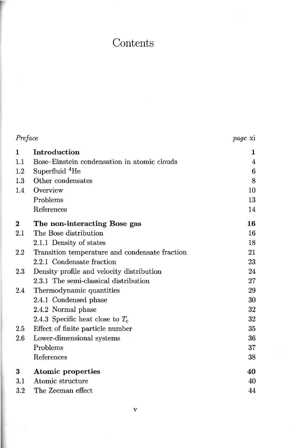## Contents

| Preface          |                                                | <i>page</i> xi  |
|------------------|------------------------------------------------|-----------------|
| 1                | Introduction                                   | 1               |
| 1.1              | Bose-Einstein condensation in atomic clouds    | 4               |
| 1.2              | Superfluid <sup>4</sup> He                     | $6\phantom{.}6$ |
| 1.3              | Other condensates                              | 8               |
| 1.4              | Overview                                       | 10              |
|                  | Problems                                       | 13              |
|                  | References                                     | 14              |
| $\boldsymbol{2}$ | The non-interacting Bose gas                   | 16              |
| 2.1              | The Bose distribution                          | 16              |
|                  | 2.1.1 Density of states                        | 18              |
| 2.2              | Transition temperature and condensate fraction | 21              |
|                  | 2.2.1 Condensate fraction                      | 23              |
| 2.3              | Density profile and velocity distribution      | 24              |
|                  | 2.3.1 The semi-classical distribution          | 27              |
| 2.4              | Thermodynamic quantities                       | 29              |
|                  | 2.4.1 Condensed phase                          | 30              |
|                  | 2.4.2 Normal phase                             | 32              |
|                  | 2.4.3 Specific heat close to $T_c$             | 32              |
| 2.5              | Effect of finite particle number               | 35              |
| 2.6              | Lower-dimensional systems                      | 36              |
|                  | Problems                                       | 37              |
|                  | References                                     | 38              |
| $\bf{3}$         | Atomic properties                              | 40              |
| 3.1              | Atomic structure                               | 40              |
| $3.2\,$          | The Zeeman effect                              | 44              |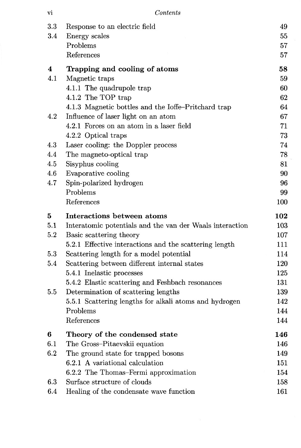| Vl | Contents |
|----|----------|
|    |          |

| 3.3 |                                                          |     |
|-----|----------------------------------------------------------|-----|
|     | Response to an electric field                            | 49  |
| 3.4 | Energy scales                                            | 55  |
|     | Problems                                                 | 57  |
|     | References                                               | 57  |
| 4   | Trapping and cooling of atoms                            | 58  |
| 4.1 | Magnetic traps                                           | 59  |
|     | 4.1.1 The quadrupole trap                                | 60  |
|     | 4.1.2 The TOP trap                                       | 62  |
|     | 4.1.3 Magnetic bottles and the Ioffe-Pritchard trap      | 64  |
| 4.2 | Influence of laser light on an atom                      | 67  |
|     | 4.2.1 Forces on an atom in a laser field                 | 71  |
|     | 4.2.2 Optical traps                                      | 73  |
| 4.3 | Laser cooling: the Doppler process                       | 74  |
| 4.4 | The magneto-optical trap                                 | 78  |
| 4.5 | Sisyphus cooling                                         | 81  |
| 4.6 | Evaporative cooling                                      | 90  |
| 4.7 | Spin-polarized hydrogen                                  | 96  |
|     | Problems                                                 | 99  |
|     | References                                               | 100 |
| 5   | Interactions between atoms                               | 102 |
| 5.1 | Interatomic potentials and the van der Waals interaction | 103 |
|     |                                                          |     |
| 5.2 | Basic scattering theory                                  | 107 |
|     | 5.2.1 Effective interactions and the scattering length   | 111 |
| 5.3 | Scattering length for a model potential                  | 114 |
| 5.4 | Scattering between different internal states             | 120 |
|     | 5.4.1 Inelastic processes                                | 125 |
|     | 5.4.2 Elastic scattering and Feshbach resonances         | 131 |
| 5.5 | Determination of scattering lengths                      | 139 |
|     | 5.5.1 Scattering lengths for alkali atoms and hydrogen   | 142 |
|     | Problems                                                 | 144 |
|     | References                                               | 144 |
| 6   | Theory of the condensed state                            | 146 |
| 6.1 | The Gross-Pitaevskii equation                            | 146 |
| 6.2 | The ground state for trapped bosons                      | 149 |
|     | 6.2.1 A variational calculation                          | 151 |
|     | 6.2.2 The Thomas-Fermi approximation                     | 154 |
| 6.3 | Surface structure of clouds                              | 158 |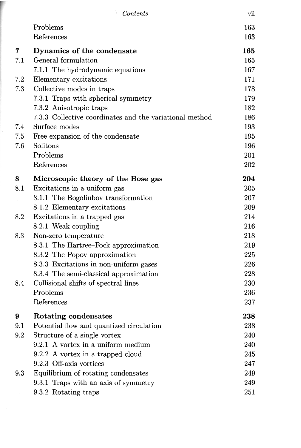|     | Contents                                                | vii |
|-----|---------------------------------------------------------|-----|
|     | Problems                                                | 163 |
|     | References                                              | 163 |
| 7   | Dynamics of the condensate                              | 165 |
| 7.1 | General formulation                                     | 165 |
|     | 7.1.1 The hydrodynamic equations                        | 167 |
| 7.2 | Elementary excitations                                  | 171 |
| 7.3 | Collective modes in traps                               | 178 |
|     | 7.3.1 Traps with spherical symmetry                     | 179 |
|     | 7.3.2 Anisotropic traps                                 | 182 |
|     | 7.3.3 Collective coordinates and the variational method | 186 |
| 7.4 | Surface modes                                           | 193 |
| 7.5 | Free expansion of the condensate                        | 195 |
| 7.6 | Solitons                                                | 196 |
|     | Problems                                                | 201 |
|     | References                                              | 202 |
| 8   | Microscopic theory of the Bose gas                      | 204 |
| 8.1 | Excitations in a uniform gas                            | 205 |
|     | 8.1.1 The Bogoliubov transformation                     | 207 |
|     | 8.1.2 Elementary excitations                            | 209 |
| 8.2 | Excitations in a trapped gas                            | 214 |
|     | 8.2.1 Weak coupling                                     | 216 |
| 8.3 | Non-zero temperature                                    | 218 |
|     | 8.3.1 The Hartree–Fock approximation                    | 219 |
|     | 8.3.2 The Popov approximation                           | 225 |
|     | 8.3.3 Excitations in non-uniform gases                  | 226 |
|     | 8.3.4 The semi-classical approximation                  | 228 |
| 8.4 | Collisional shifts of spectral lines                    | 230 |
|     | Problems                                                | 236 |
|     | References                                              | 237 |
| 9   | <b>Rotating condensates</b>                             | 238 |
| 9.1 | Potential flow and quantized circulation                | 238 |
| 9.2 | Structure of a single vortex                            | 240 |
|     | 9.2.1 A vortex in a uniform medium                      | 240 |
|     | 9.2.2 A vortex in a trapped cloud                       | 245 |
|     | 9.2.3 Off-axis vortices                                 | 247 |
| 9.3 | Equilibrium of rotating condensates                     | 249 |
|     | 9.3.1 Traps with an axis of symmetry                    | 249 |
|     | 9.3.2 Rotating traps                                    | 251 |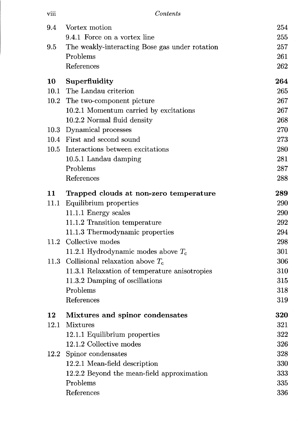| viii | Contents                                       |     |
|------|------------------------------------------------|-----|
| 9.4  | Vortex motion                                  | 254 |
|      | 9.4.1 Force on a vortex line                   | 255 |
| 9.5  | The weakly-interacting Bose gas under rotation | 257 |
|      | Problems                                       | 261 |
|      | References                                     | 262 |
| 10   | Superfluidity                                  | 264 |
|      | 10.1 The Landau criterion                      | 265 |
|      | 10.2 The two-component picture                 | 267 |
|      | 10.2.1 Momentum carried by excitations         | 267 |
|      | 10.2.2 Normal fluid density                    | 268 |
|      | 10.3 Dynamical processes                       | 270 |
|      | 10.4 First and second sound                    | 273 |
| 10.5 | Interactions between excitations               | 280 |
|      | 10.5.1 Landau damping                          | 281 |
|      | Problems                                       | 287 |
|      | References                                     | 288 |
| 11   | Trapped clouds at non-zero temperature         | 289 |
| 11.1 | Equilibrium properties                         | 290 |
|      | 11.1.1 Energy scales                           | 290 |
|      | 11.1.2 Transition temperature                  | 292 |
|      | 11.1.3 Thermodynamic properties                | 294 |
| 11.2 | Collective modes                               | 298 |
|      | 11.2.1 Hydrodynamic modes above $T_c$          | 301 |
|      | 11.3 Collisional relaxation above $T_c$        | 306 |
|      | 11.3.1 Relaxation of temperature anisotropies  | 310 |
|      | 11.3.2 Damping of oscillations                 | 315 |
|      | Problems                                       | 318 |
|      | References                                     | 319 |
| 12   | Mixtures and spinor condensates                | 320 |
| 12.1 | <b>Mixtures</b>                                | 321 |
|      | 12.1.1 Equilibrium properties                  | 322 |
|      | 12.1.2 Collective modes                        | 326 |
| 12.2 | Spinor condensates                             | 328 |
|      | 12.2.1 Mean-field description                  | 330 |
|      | 12.2.2 Beyond the mean-field approximation     | 333 |
|      | Problems                                       | 335 |
|      | References                                     | 336 |